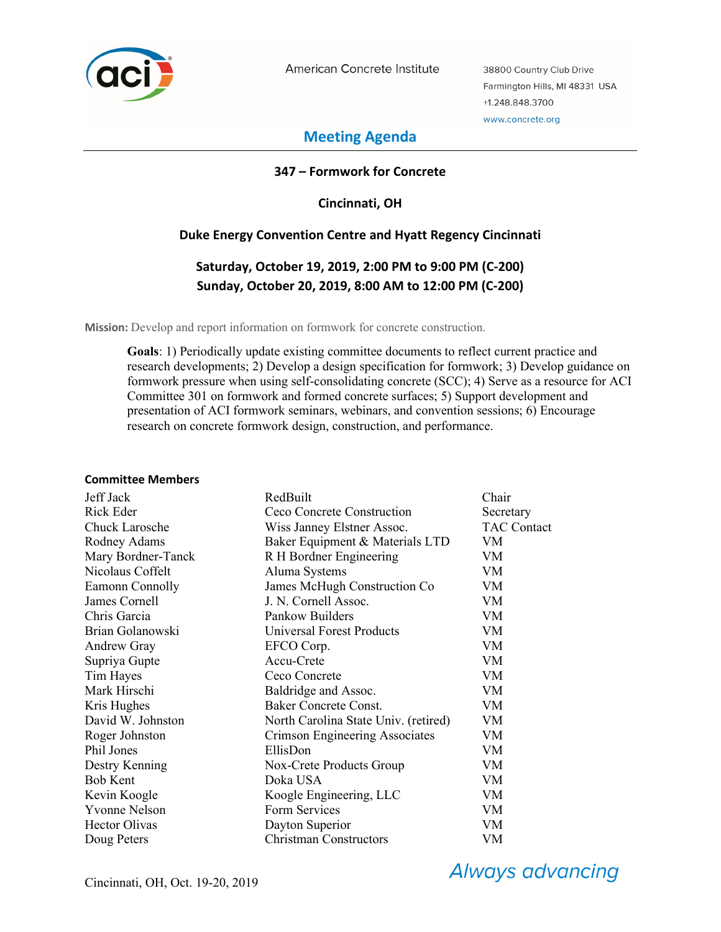

American Concrete Institute

38800 Country Club Drive Farmington Hills, MI 48331 USA +1.248.848.3700 www.concrete.org

# **Meeting Agenda**

## **347 – Formwork for Concrete**

**Cincinnati, OH** 

### **Duke Energy Convention Centre and Hyatt Regency Cincinnati**

# **Saturday, October 19, 2019, 2:00 PM to 9:00 PM (C-200) Sunday, October 20, 2019, 8:00 AM to 12:00 PM (C-200)**

**Mission:** Develop and report information on formwork for concrete construction.

**Goals**: 1) Periodically update existing committee documents to reflect current practice and research developments; 2) Develop a design specification for formwork; 3) Develop guidance on formwork pressure when using self-consolidating concrete (SCC); 4) Serve as a resource for ACI Committee 301 on formwork and formed concrete surfaces; 5) Support development and presentation of ACI formwork seminars, webinars, and convention sessions; 6) Encourage research on concrete formwork design, construction, and performance.

#### **Committee Members**

| Jeff Jack            | RedBuilt                             | Chair              |
|----------------------|--------------------------------------|--------------------|
| Rick Eder            | Ceco Concrete Construction           | Secretary          |
| Chuck Larosche       | Wiss Janney Elstner Assoc.           | <b>TAC Contact</b> |
| Rodney Adams         | Baker Equipment & Materials LTD      | VM                 |
| Mary Bordner-Tanck   | R H Bordner Engineering              | VM                 |
| Nicolaus Coffelt     | Aluma Systems                        | VM                 |
| Eamonn Connolly      | James McHugh Construction Co         | VM                 |
| James Cornell        | J. N. Cornell Assoc.                 | VM                 |
| Chris Garcia         | Pankow Builders                      | <b>VM</b>          |
| Brian Golanowski     | <b>Universal Forest Products</b>     | <b>VM</b>          |
| <b>Andrew Gray</b>   | EFCO Corp.                           | <b>VM</b>          |
| Supriya Gupte        | Accu-Crete                           | VM                 |
| Tim Hayes            | Ceco Concrete                        | VM                 |
| Mark Hirschi         | Baldridge and Assoc.                 | VM                 |
| Kris Hughes          | Baker Concrete Const.                | VM                 |
| David W. Johnston    | North Carolina State Univ. (retired) | <b>VM</b>          |
| Roger Johnston       | Crimson Engineering Associates       | VM                 |
| Phil Jones           | EllisDon                             | <b>VM</b>          |
| Destry Kenning       | Nox-Crete Products Group             | VM                 |
| <b>Bob Kent</b>      | Doka USA                             | VM                 |
| Kevin Koogle         | Koogle Engineering, LLC              | VM                 |
| <b>Yvonne Nelson</b> | Form Services                        | VM                 |
| Hector Olivas        | Dayton Superior                      | VM                 |
| Doug Peters          | <b>Christman Constructors</b>        | VM                 |

**Always advancing**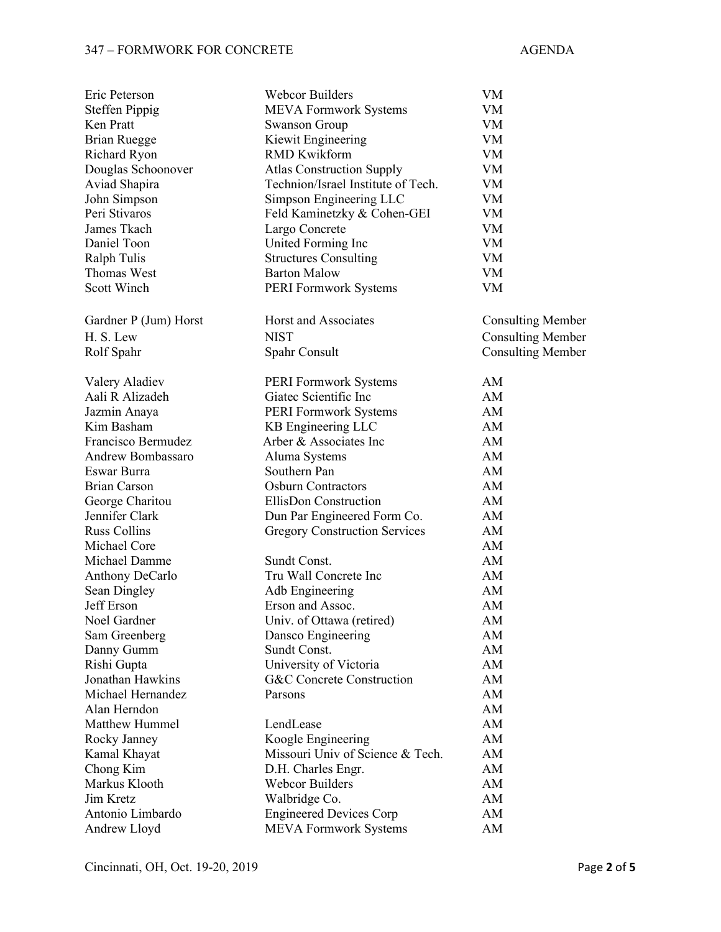## 347 – FORMWORK FOR CONCRETE AGENDA

| Eric Peterson         | <b>Webcor Builders</b>               | VM                       |
|-----------------------|--------------------------------------|--------------------------|
| <b>Steffen Pippig</b> | <b>MEVA Formwork Systems</b>         | VM                       |
| Ken Pratt             | <b>Swanson Group</b>                 | VM                       |
| Brian Ruegge          | Kiewit Engineering                   | VM                       |
| Richard Ryon          | <b>RMD Kwikform</b>                  | VM                       |
| Douglas Schoonover    | <b>Atlas Construction Supply</b>     | VM                       |
| Aviad Shapira         | Technion/Israel Institute of Tech.   | <b>VM</b>                |
| John Simpson          | Simpson Engineering LLC              | VM                       |
| Peri Stivaros         | Feld Kaminetzky & Cohen-GEI          | VM                       |
| James Tkach           | Largo Concrete                       | VM                       |
| Daniel Toon           | United Forming Inc                   | VM                       |
| <b>Ralph Tulis</b>    | <b>Structures Consulting</b>         | VM                       |
| Thomas West           | <b>Barton Malow</b>                  | VM                       |
| Scott Winch           | PERI Formwork Systems                | VM                       |
| Gardner P (Jum) Horst | Horst and Associates                 | <b>Consulting Member</b> |
| H. S. Lew             | <b>NIST</b>                          | <b>Consulting Member</b> |
| Rolf Spahr            | Spahr Consult                        | <b>Consulting Member</b> |
| Valery Aladiev        | <b>PERI Formwork Systems</b>         | AM                       |
| Aali R Alizadeh       | Giatec Scientific Inc                | AM                       |
| Jazmin Anaya          | PERI Formwork Systems                | AM                       |
| Kim Basham            | KB Engineering LLC                   | AM                       |
| Francisco Bermudez    | Arber & Associates Inc               | AM                       |
| Andrew Bombassaro     | Aluma Systems                        | AM                       |
| Eswar Burra           | Southern Pan                         | AM                       |
| Brian Carson          | <b>Osburn Contractors</b>            | AM                       |
| George Charitou       | EllisDon Construction                | AM                       |
| Jennifer Clark        | Dun Par Engineered Form Co.          | AM                       |
| <b>Russ Collins</b>   | <b>Gregory Construction Services</b> | AM                       |
| Michael Core          |                                      | AM                       |
| Michael Damme         | Sundt Const.                         | AM                       |
| Anthony DeCarlo       | Tru Wall Concrete Inc                | AM                       |
| Sean Dingley          | Adb Engineering                      | AM                       |
| Jeff Erson            | Erson and Assoc.                     | AM                       |
| Noel Gardner          | Univ. of Ottawa (retired)            | AM                       |
| Sam Greenberg         | Dansco Engineering                   | AM                       |
| Danny Gumm            | Sundt Const.                         | AM                       |
| Rishi Gupta           | University of Victoria               | AM                       |
| Jonathan Hawkins      | <b>G&amp;C</b> Concrete Construction | AM                       |
| Michael Hernandez     | Parsons                              | AM                       |
| Alan Herndon          |                                      | AM                       |
| <b>Matthew Hummel</b> | LendLease                            | AM                       |
| Rocky Janney          | Koogle Engineering                   | AM                       |
| Kamal Khayat          | Missouri Univ of Science & Tech.     | AM                       |
| Chong Kim             | D.H. Charles Engr.                   | AM                       |
| Markus Klooth         | <b>Webcor Builders</b>               | AM                       |
| Jim Kretz             | Walbridge Co.                        | AM                       |
| Antonio Limbardo      | <b>Engineered Devices Corp</b>       | AM                       |
| Andrew Lloyd          | <b>MEVA Formwork Systems</b>         | AM                       |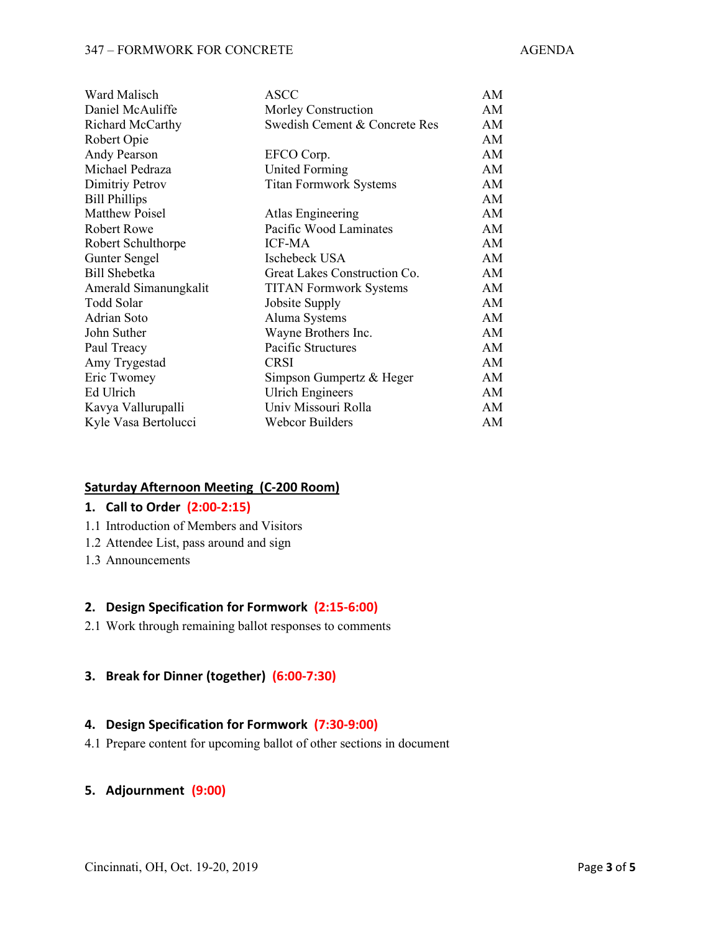#### 347 – FORMWORK FOR CONCRETE AGENDA

| Ward Malisch          | <b>ASCC</b>                   | AM |
|-----------------------|-------------------------------|----|
| Daniel McAuliffe      | Morley Construction           | AM |
| Richard McCarthy      | Swedish Cement & Concrete Res | AM |
| Robert Opie           |                               | AM |
| Andy Pearson          | EFCO Corp.                    | AM |
| Michael Pedraza       | United Forming                | AM |
| Dimitriy Petrov       | <b>Titan Formwork Systems</b> | AM |
| <b>Bill Phillips</b>  |                               | AM |
| Matthew Poisel        | Atlas Engineering             | AM |
| <b>Robert Rowe</b>    | Pacific Wood Laminates        | AM |
| Robert Schulthorpe    | <b>ICF-MA</b>                 | AM |
| Gunter Sengel         | Ischebeck USA                 | AM |
| Bill Shebetka         | Great Lakes Construction Co.  | AM |
| Amerald Simanungkalit | <b>TITAN Formwork Systems</b> | AM |
| Todd Solar            | Jobsite Supply                | AM |
| Adrian Soto           | Aluma Systems                 | AM |
| John Suther           | Wayne Brothers Inc.           | AM |
| Paul Treacy           | Pacific Structures            | AM |
| Amy Trygestad         | <b>CRSI</b>                   | AM |
| Eric Twomey           | Simpson Gumpertz & Heger      | AM |
| Ed Ulrich             | <b>Ulrich Engineers</b>       | AM |
| Kavya Vallurupalli    | Univ Missouri Rolla           | AM |
| Kyle Vasa Bertolucci  | <b>Webcor Builders</b>        | AM |

#### **Saturday Afternoon Meeting (C-200 Room)**

#### **1. Call to Order (2:00-2:15)**

- 1.1 Introduction of Members and Visitors
- 1.2 Attendee List, pass around and sign
- 1.3 Announcements

#### **2. Design Specification for Formwork (2:15-6:00)**

2.1 Work through remaining ballot responses to comments

# **3. Break for Dinner (together) (6:00-7:30)**

#### **4. Design Specification for Formwork (7:30-9:00)**

4.1 Prepare content for upcoming ballot of other sections in document

### **5. Adjournment (9:00)**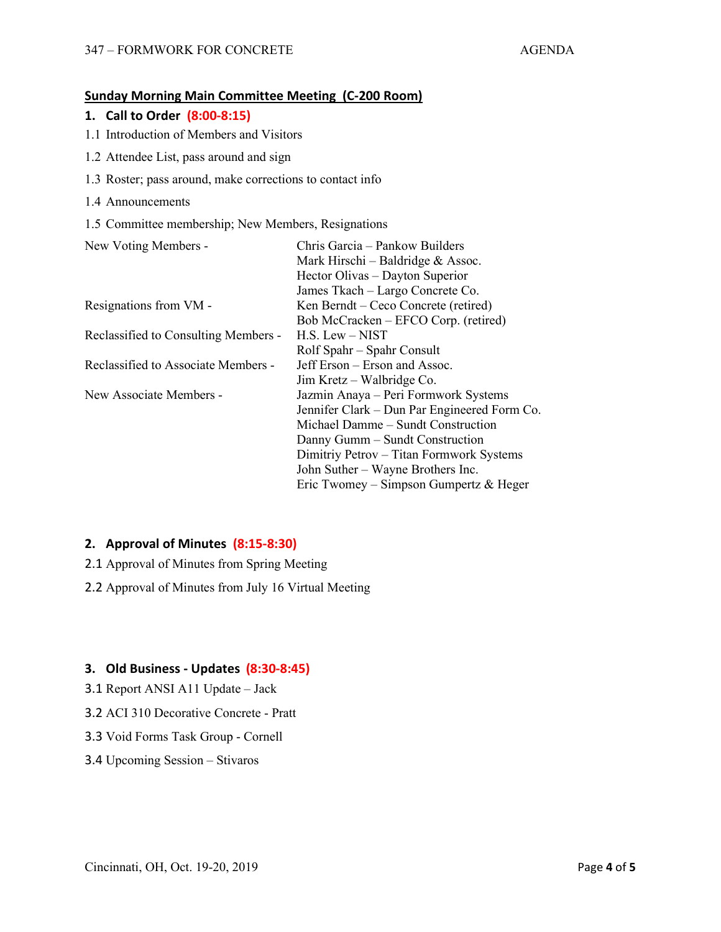### **Sunday Morning Main Committee Meeting (C-200 Room)**

#### **1. Call to Order (8:00-8:15)**

- 1.1 Introduction of Members and Visitors
- 1.2 Attendee List, pass around and sign
- 1.3 Roster; pass around, make corrections to contact info
- 1.4 Announcements
- 1.5 Committee membership; New Members, Resignations

| New Voting Members -                 | Chris Garcia - Pankow Builders               |
|--------------------------------------|----------------------------------------------|
|                                      | Mark Hirschi – Baldridge & Assoc.            |
|                                      | Hector Olivas - Dayton Superior              |
|                                      | James Tkach – Largo Concrete Co.             |
| Resignations from VM -               | Ken Berndt – Ceco Concrete (retired)         |
|                                      | Bob McCracken – EFCO Corp. (retired)         |
| Reclassified to Consulting Members - | $H.S.$ Lew $-$ NIST                          |
|                                      | Rolf Spahr – Spahr Consult                   |
| Reclassified to Associate Members -  | Jeff Erson – Erson and Assoc.                |
|                                      | Jim Kretz – Walbridge Co.                    |
| New Associate Members -              | Jazmin Anaya – Peri Formwork Systems         |
|                                      | Jennifer Clark – Dun Par Engineered Form Co. |
|                                      | Michael Damme - Sundt Construction           |
|                                      | Danny Gumm – Sundt Construction              |
|                                      | Dimitriy Petrov - Titan Formwork Systems     |
|                                      | John Suther – Wayne Brothers Inc.            |
|                                      | Eric Twomey – Simpson Gumpertz & Heger       |

#### **2. Approval of Minutes (8:15-8:30)**

- 2.1 Approval of Minutes from Spring Meeting
- 2.2 Approval of Minutes from July 16 Virtual Meeting

#### **3. Old Business - Updates (8:30-8:45)**

- 3.1 Report ANSI A11 Update Jack
- 3.2 ACI 310 Decorative Concrete Pratt
- 3.3 Void Forms Task Group Cornell
- 3.4 Upcoming Session Stivaros